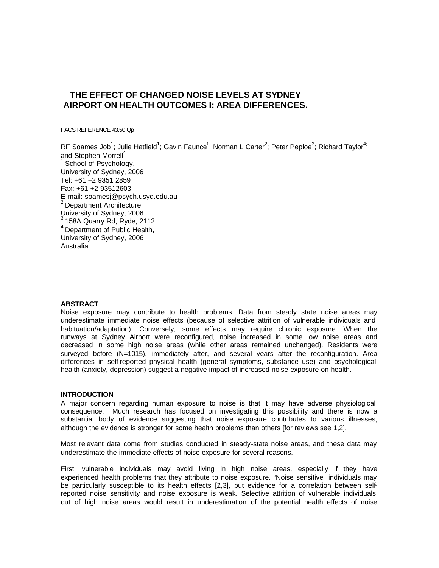# **THE EFFECT OF CHANGED NOISE LEVELS AT SYDNEY AIRPORT ON HEALTH OUTCOMES I: AREA DIFFERENCES.**

PACS REFERENCE 43.50 Qp

RF Soames Job<sup>1</sup>; Julie Hatfield<sup>1</sup>; Gavin Faunce<sup>1</sup>; Norman L Carter<sup>2</sup>; Peter Peploe<sup>3</sup>; Richard Taylor<sup>4;</sup> and Stephen Morrell<sup>4</sup> School of Psychology, University of Sydney, 2006 Tel: +61 +2 9351 2859 Fax: +61 +2 93512603 E-mail: soamesj@psych.usyd.edu.au <sup>2</sup> Department Architecture, University of Sydney, 2006  $3$  158A Quarry Rd, Ryde, 2112  $<sup>4</sup>$  Department of Public Health,</sup> University of Sydney, 2006 Australia.

#### **ABSTRACT**

Noise exposure may contribute to health problems. Data from steady state noise areas may underestimate immediate noise effects (because of selective attrition of vulnerable individuals and habituation/adaptation). Conversely, some effects may require chronic exposure. When the runways at Sydney Airport were reconfigured, noise increased in some low noise areas and decreased in some high noise areas (while other areas remained unchanged). Residents were surveyed before (N=1015), immediately after, and several years after the reconfiguration. Area differences in self-reported physical health (general symptoms, substance use) and psychological health (anxiety, depression) suggest a negative impact of increased noise exposure on health.

# **INTRODUCTION**

A major concern regarding human exposure to noise is that it may have adverse physiological consequence. Much research has focused on investigating this possibility and there is now a substantial body of evidence suggesting that noise exposure contributes to various illnesses, although the evidence is stronger for some health problems than others [for reviews see 1,2].

Most relevant data come from studies conducted in steady-state noise areas, and these data may underestimate the immediate effects of noise exposure for several reasons.

First, vulnerable individuals may avoid living in high noise areas, especially if they have experienced health problems that they attribute to noise exposure. "Noise sensitive" individuals may be particularly susceptible to its health effects [2,3], but evidence for a correlation between selfreported noise sensitivity and noise exposure is weak. Selective attrition of vulnerable individuals out of high noise areas would result in underestimation of the potential health effects of noise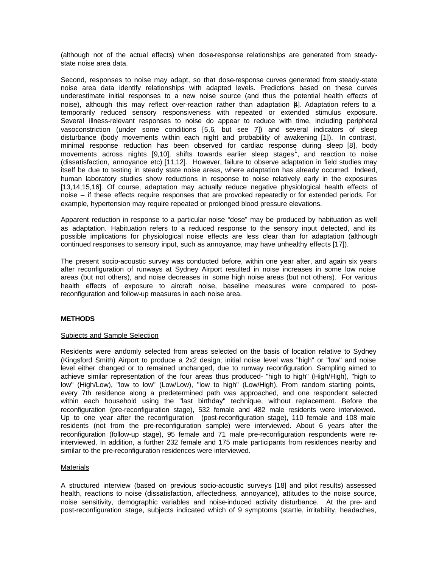(although not of the actual effects) when dose-response relationships are generated from steadystate noise area data.

Second, responses to noise may adapt, so that dose-response curves generated from steady-state noise area data identify relationships with adapted levels. Predictions based on these curves underestimate initial responses to a new noise source (and thus the potential health effects of noise), although this may reflect over-reaction rather than adaptation [4]. Adaptation refers to a temporarily reduced sensory responsiveness with repeated or extended stimulus exposure. Several illness-relevant responses to noise do appear to reduce with time, including peripheral vasoconstriction (under some conditions [5,6, but see 7]) and several indicators of sleep disturbance (body movements within each night and probability of awakening [1]). In contrast, minimal response reduction has been observed for cardiac response during sleep [8], body movements across nights [9,10], shifts towards earlier sleep stages<sup>1</sup>, and reaction to noise (dissatisfaction, annoyance etc) [11,12]. However, failure to observe adaptation in field studies may itself be due to testing in steady state noise areas, where adaptation has already occurred. Indeed, human laboratory studies show reductions in response to noise relatively early in the exposures [13,14,15,16]. Of course, adaptation may actually reduce negative physiological health effects of noise – if these effects require responses that are provoked repeatedly or for extended periods. For example, hypertension may require repeated or prolonged blood pressure elevations.

Apparent reduction in response to a particular noise "dose" may be produced by habituation as well as adaptation. Habituation refers to a reduced response to the sensory input detected, and its possible implications for physiological noise effects are less clear than for adaptation (although continued responses to sensory input, such as annoyance, may have unhealthy effects [17]).

The present socio-acoustic survey was conducted before, within one year after, and again six years after reconfiguration of runways at Sydney Airport resulted in noise increases in some low noise areas (but not others), and noise decreases in some high noise areas (but not others). For various health effects of exposure to aircraft noise, baseline measures were compared to postreconfiguration and follow-up measures in each noise area.

# **METHODS**

#### Subjects and Sample Selection

Residents were andomly selected from areas selected on the basis of location relative to Sydney (Kingsford Smith) Airport to produce a 2x2 design; initial noise level was "high" or "low" and noise level either changed or to remained unchanged, due to runway reconfiguration. Sampling aimed to achieve similar representation of the four areas thus produced- "high to high" (High/High), "high to low" (High/Low), "low to low" (Low/Low), "low to high" (Low/High). From random starting points, every 7th residence along a predetermined path was approached, and one respondent selected within each household using the "last birthday" technique, without replacement. Before the reconfiguration (pre-reconfiguration stage), 532 female and 482 male residents were interviewed. Up to one year after the reconfiguration (post-reconfiguration stage), 110 female and 108 male residents (not from the pre-reconfiguration sample) were interviewed. About 6 years after the reconfiguration (follow-up stage), 95 female and 71 male pre-reconfiguration respondents were reinterviewed. In addition, a further 232 female and 175 male participants from residences nearby and similar to the pre-reconfiguration residences were interviewed.

# Materials

A structured interview (based on previous socio-acoustic surveys [18] and pilot results) assessed health, reactions to noise (dissatisfaction, affectedness, annoyance), attitudes to the noise source, noise sensitivity, demographic variables and noise-induced activity disturbance. At the pre- and post-reconfiguration stage, subjects indicated which of 9 symptoms (startle, irritability, headaches,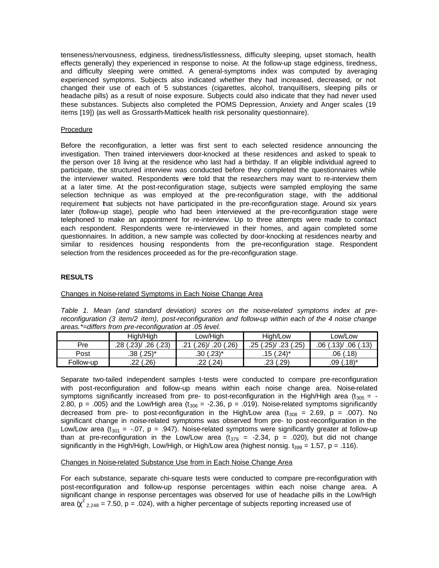tenseness/nervousness, edginess, tiredness/listlessness, difficulty sleeping, upset stomach, health effects generally) they experienced in response to noise. At the follow-up stage edginess, tiredness, and difficulty sleeping were omitted. A general-symptoms index was computed by averaging experienced symptoms. Subjects also indicated whether they had increased, decreased, or not changed their use of each of 5 substances (cigarettes, alcohol, tranquillisers, sleeping pills or headache pills) as a result of noise exposure. Subjects could also indicate that they had never used these substances. Subjects also completed the POMS Depression, Anxiety and Anger scales (19 items [19]) (as well as Grossarth-Matticek health risk personality questionnaire).

#### Procedure

Before the reconfiguration, a letter was first sent to each selected residence announcing the investigation. Then trained interviewers door-knocked at these residences and asked to speak to the person over 18 living at the residence who last had a birthday. If an eligible individual agreed to participate, the structured interview was conducted before they completed the questionnaires while the interviewer waited. Respondents were told that the researchers may want to re-interview them at a later time. At the post-reconfiguration stage, subjects were sampled employing the same selection technique as was employed at the pre-reconfiguration stage, with the additional requirement hat subjects not have participated in the pre-reconfiguration stage. Around six years later (follow-up stage), people who had been interviewed at the pre-reconfiguration stage were telephoned to make an appointment for re-interview. Up to three attempts were made to contact each respondent. Respondents were re-interviewed in their homes, and again completed some questionnaires. In addition, a new sample was collected by door-knocking at residences nearby and similar to residences housing respondents from the pre-reconfiguration stage. Respondent selection from the residences proceeded as for the pre-reconfiguration stage.

#### **RESULTS**

# Changes in Noise-related Symptoms in Each Noise Change Area

*Table 1. Mean (and standard deviation) scores on the noise-related symptoms index at prereconfiguration (3 item/2 item), post-reconfiguration and follow-up within each of the 4 noise change areas.\*=differs from pre-reconfiguration at .05 level.*

|           | High/High               | Low/High                      | High/Low                   | Low/Low                                |
|-----------|-------------------------|-------------------------------|----------------------------|----------------------------------------|
| Pre       | .23V<br>.26(.23)<br>.28 | $.26$ )<br>.20<br>(.26)<br>ີາ | .23(.25)<br>.25<br>.25     | .13 <sub>1</sub><br>.06(0.13)<br>.06 ( |
| Post      | $(.25)^*$<br>.38 (      | $.30(.23)$ *                  | $.15(.24)^*$               | (.18)<br>.06                           |
| Follow-up | .26)<br>ົ<br>.∠∠        | (.24)<br>ົ<br>. 44            | $.29^{\circ}$<br>ົ<br>ں ے. | $.18)$ *<br>.09                        |

Separate two-tailed independent samples t-tests were conducted to compare pre-reconfiguration with post-reconfiguration and follow-up means within each noise change area. Noise-related symptoms significantly increased from pre- to post-reconfiguration in the High/High area (t<sub>305</sub> = -2.80, p = .005) and the Low/High area ( $t_{306}$  = -2.36, p = .019). Noise-related symptoms significantly decreased from pre- to post-reconfiguration in the High/Low area ( $t_{308}$  = 2.69, p = .007). No significant change in noise-related symptoms was observed from pre- to post-reconfiguration in the Low/Low area (t<sub>301</sub> = -.07, p = .947). Noise-related symptoms were significantly greater at follow-up than at pre-reconfiguration in the Low/Low area  $(t_{379} = -2.34, p = .020)$ , but did not change significantly in the High/High, Low/High, or High/Low area (highest nonsig.  $t_{399} = 1.57$ , p = .116).

#### Changes in Noise-related Substance Use from in Each Noise Change Area

For each substance, separate chi-square tests were conducted to compare pre-reconfiguration with post-reconfiguration and follow-up response percentages within each noise change area. A significant change in response percentages was observed for use of headache pills in the Low/High area  $\chi^2_{2,248}$  = 7.50, p = .024), with a higher percentage of subjects reporting increased use of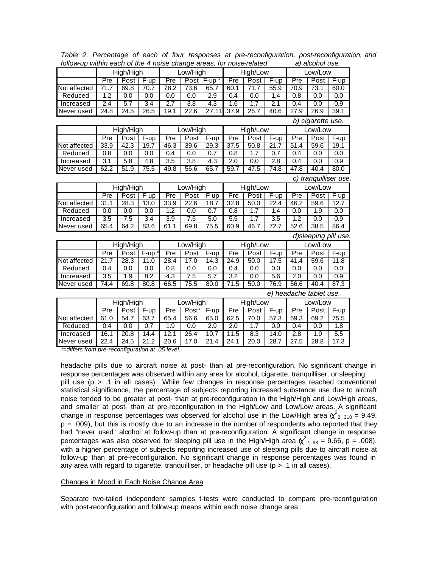|                  | High/High        |                       | Low/High |                  | High/Low         |            | Low/Low          |                   |                  |                  |                         |                       |
|------------------|------------------|-----------------------|----------|------------------|------------------|------------|------------------|-------------------|------------------|------------------|-------------------------|-----------------------|
|                  | Pre              | Post                  | $F-up$   | Pre              |                  | Post F-up* | Pre              | Post              | $F-up$           | Pre              | $\overline{Post}$       | $F-up$                |
| Not affected     | 71.7             | 69.8                  | 70.7     | 78.2             | 73.6             | 65.7       | 60.1             | 71.7              | 55.9             | 70.9             | 73.1                    | 60.0                  |
| Reduced          | 1.2              | 0.0                   | 0.0      | 0.0              | 0.0              | 2.9        | 0.4              | 0.0               | 1.4              | 0.8              | 0.0                     | 0.0                   |
| Increased        | 2.4              | 5.7                   | 3.4      | 2.7              | 3.8              | 4.3        | 1.6              | 1.7               | 2.1              | 0.4              | 0.0                     | 0.9                   |
| Never used       | 24.8             | 24.5                  | 26.5     | 19.1             | 22.6             | 27.11      | 37.9             | 26.7              | 40.6             | 27.9             | 26.9                    | 39.1                  |
|                  |                  |                       |          |                  |                  |            |                  |                   |                  |                  | b) cigarette use.       |                       |
|                  |                  | High/High             |          | Low/High         |                  | High/Low   |                  |                   | Low/Low          |                  |                         |                       |
|                  | Pre              | Post                  | $F-up$   | Pre              | Post             | $F-up$     | Pre              | Post              | $F-up$           | Pre              | Post                    | F-up                  |
| Not affected     | 33.9             | 42.3                  | 19.7     | 46.3             | 39.6             | 29.3       | 37.5             | 50.8              | 21.7             | 51.4             | 59.6                    | 19.1                  |
| Reduced          | 0.8              | 0.0                   | 0.0      | 0.4              | 0.0              | 0.7        | 0.8              | 1.7               | 0.7              | 0.4              | 0.0                     | 0.0                   |
| Increased        | $\overline{3.1}$ | $\overline{5.8}$      | 4.8      | $\overline{3.5}$ | $\overline{3.8}$ | 4.3        | $\overline{2.0}$ | 0.0               | $\overline{2.8}$ | 0.4              | 0.0                     | $\overline{0.9}$      |
| Never used       | 62.2             | 51.9                  | 75.5     | 49.8             | 56.6             | 65.7       | 59.7             | 47.5              | 74.8             | 47.8             | 40.4                    | 80.0                  |
|                  |                  |                       |          |                  |                  |            |                  |                   |                  |                  |                         | c) tranquilliser use. |
|                  | High/High        |                       |          | Low/High         |                  | High/Low   |                  | Low/Low           |                  |                  |                         |                       |
|                  | Pre              | Post                  | $F-up$   | Pre              | Post             | F-up       | Pre              | Post              | F-up             | Pre              | Post                    | $F-up$                |
| Not affected     | 31.1             | 28.3                  | 13.0     | 33.9             | 22.6             | 18.7       | 32.8             | 50.0              | 22.4             | 46.2             | 59.6                    | 12.7                  |
| Reduced          | 0.0              | 0.0                   | 0.0      | 1.2              | 0.0              | 0.7        | 0.8              | 1.7               | 1.4              | 0.0              | 1.9                     | 0.0                   |
| Increased        | $\overline{3.5}$ | 7.5                   | 3.4      | 3.9              | 7.5              | 5.0        | 5.5              | 1.7               | 3.5              | $\overline{1.2}$ | $\overline{0.0}$        | 0.9                   |
| Never used       | 65.4             | 64.2                  | 83.6     | 61.1             | 69.8             | 75.5       | 60.9             | 46.7              | 72.7             | 52.6             | 38.5                    | 86.4                  |
|                  |                  |                       |          |                  |                  |            |                  |                   |                  |                  |                         | d)sleeping pill use.  |
|                  |                  | High/High<br>Low/High |          |                  | High/Low         |            |                  | Low/Low           |                  |                  |                         |                       |
|                  | Pre              | Post                  | $F-up$   | Pre              | Post             | $F-up$     | Pre              | Post              | F-up             | Pre              | Post                    | F-up                  |
| Not affected     | 21.7             | 28.3                  | 11.0     | 28.4             | 17.0             | 14.3       | 24.9             | 50.0              | 17.5             | 41.4             | 59.6                    | 11.8                  |
| Reduced          | 0.4              | 0.0                   | 0.0      | 0.8              | 0.0              | 0.0        | 0.4              | 0.0               | 0.0              | 0.0              | 0.0                     | 0.0                   |
| Increased        | 3.5              | 1.9                   | 8.2      | 4.3              | 7.5              | 5.7        | 3.2              | 0.0               | 5.6              | 2.0              | 0.0                     | 0.9                   |
| Never used       | 74.4             | 69.8                  | 80.8     | 66.5             | 75.5             | 80.0       | 71.5             | 50.0              | 76.9             | 56.6             | 40.4                    | 87.3                  |
|                  |                  |                       |          |                  |                  |            |                  |                   |                  |                  | e) headache tablet use. |                       |
|                  |                  | High/High<br>Low/High |          | High/Low         |                  | Low/Low    |                  |                   |                  |                  |                         |                       |
|                  | Pre              | Post                  | $F-up$   | Pre              | Post*            | F-up       | Pre              | Post              | F-up             | Pre              | $\overline{Post}$       | F-up                  |
| Not affected     | 61.0             | 54.7                  | 63.7     | 65.4             | 56.6             | 65.0       | 62.5             | 70.0              | 57.3             | 69.3             | 69.2                    | 75.5                  |
| Reduced          | 0.4              | 0.0                   | 0.7      | 1.9              | 0.0              | 2.9        | 2.0              | 1.7               | 0.0              | 0.4              | 0.0                     | 1.8                   |
| <b>Increased</b> | 16.1             | 20.8                  | 14.4     | 12.1             | 26.4             | 10.7       | 11.5             | 8.3               | 14.0             | $\overline{2.8}$ | 1.9                     | 5.5                   |
| Never used       | 22.4             | $\overline{24.5}$     | 21.2     | 20.6             | 17.0             | 21.4       | 24.1             | $\overline{20.0}$ | 28.7             | 27.5             | 28.8                    | 17.3                  |
|                  |                  |                       |          |                  |                  |            |                  |                   |                  |                  |                         |                       |

*Table 2. Percentage of each of four responses at pre-reconfiguration, post-reconfiguration, and follow-up within each of the 4 noise change areas, for noise-related a) alcohol use.*

*\*=differs from pre-reconfiguration at .05 level.*

headache pills due to aircraft noise at post- than at pre-reconfiguration. No significant change in response percentages was observed within any area for alcohol, cigarette, tranquilliser, or sleeping pill use (p > .1 in all cases). While few changes in response percentages reached conventional statistical significance, the percentage of subjects reporting increased substance use due to aircraft noise tended to be greater at post- than at pre-reconfiguration in the High/High and Low/High areas, and smaller at post- than at pre-reconfiguration in the High/Low and Low/Low areas. A significant change in response percentages was observed for alcohol use in the Low/High area  $\chi^2_{2,310}$  = 9.49,  $p = .009$ ), but this is mostly due to an increase in the number of respondents who reported that they had "never used" alcohol at follow-up than at pre-reconfiguration. A significant change in response percentages was also observed for sleeping pill use in the High/High area  $\chi^2_{2,93} = 9.66$ , p = .008), with a higher percentage of subjects reporting increased use of sleeping pills due to aircraft noise at follow-up than at pre-reconfiguration. No significant change in response percentages was found in any area with regard to cigarette, tranquilliser, or headache pill use ( $p > .1$  in all cases).

#### Changes in Mood in Each Noise Change Area

Separate two-tailed independent samples t-tests were conducted to compare pre-reconfiguration with post-reconfiguration and follow-up means within each noise change area.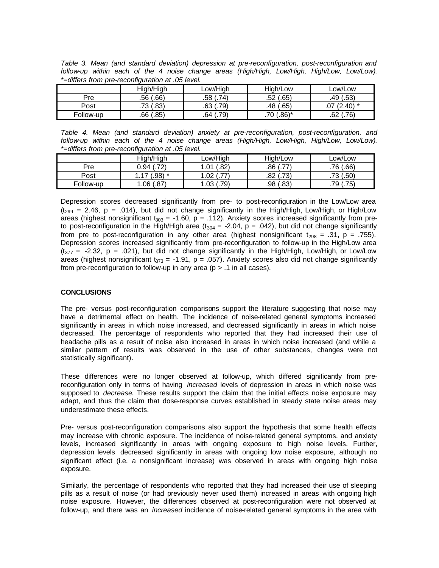*Table 3. Mean (and standard deviation) depression at pre-reconfiguration, post-reconfiguration and follow-up within each of the 4 noise change areas (High/High, Low/High, High/Low, Low/Low). \*=differs from pre-reconfiguration at .05 level.*

|           | High/High   | Low/High    | Hiah/Low    | Low/Low   |
|-----------|-------------|-------------|-------------|-----------|
| Pre       | (66)<br>.56 | .74)<br>.58 | (.65<br>.52 | .49 (.53) |
| Post      | 0.83        | .79)        | (.65)       | $(.40)^*$ |
|           | .73         | .63         | .48 /       | .07       |
| Follow-up | (.85)       | .79)        | $0.86$ *    | (.76)     |
|           | .66         | .64         | .70         | .62       |

*Table 4. Mean (and standard deviation) anxiety at pre-reconfiguration, post-reconfiguration, and follow-up within each of the 4 noise change areas (High/High, Low/High, High/Low, Low/Low). \*=differs from pre-reconfiguration at .05 level.*

|           | High/High            | ∟ow/High         | Hiah/Low                 | ∟ow/Low      |
|-----------|----------------------|------------------|--------------------------|--------------|
| Pre       | (.72)<br>J.94        | 82)<br>1.01      | フフ<br>.86<br>.           | .76(.66)     |
| Post      | .98) *               | .02<br>.         | 73)<br>.82               | .50)<br>.73  |
| Follow-up | $.87^{\circ}$<br>.06 | 79)<br>റാ<br>.∪ט | .83'<br>.98 <sup>°</sup> | (.75)<br>.79 |

Depression scores decreased significantly from pre- to post-reconfiguration in the Low/Low area  $(t_{299} = 2.46, p = .014)$ , but did not change significantly in the High/High, Low/High, or High/Low areas (highest nonsignificant  $t_{303} = -1.60$ , p = .112). Anxiety scores increased significantly from preto post-reconfiguration in the High/High area ( $t_{304}$  = -2.04, p = .042), but did not change significantly from pre to post-reconfiguration in any other area (highest nonsignificant  $t_{298} = .31$ , p = .755). Depression scores increased significantly from pre-reconfiguration to follow-up in the High/Low area  $(t_{377} = -2.32, p = .021)$ , but did not change significantly in the High/High, Low/High, or Low/Low areas (highest nonsignificant  $t_{373} = -1.91$ , p = .057). Anxiety scores also did not change significantly from pre-reconfiguration to follow-up in any area ( $p > 0.1$  in all cases).

# **CONCLUSIONS**

The pre- versus post-reconfiguration comparisons support the literature suggesting that noise may have a detrimental effect on health. The incidence of noise-related general symptoms increased significantly in areas in which noise increased, and decreased significantly in areas in which noise decreased. The percentage of respondents who reported that they had increased their use of headache pills as a result of noise also increased in areas in which noise increased (and while a similar pattern of results was observed in the use of other substances, changes were not statistically significant).

These differences were no longer observed at follow-up, which differed significantly from prereconfiguration only in terms of having *increased* levels of depression in areas in which noise was supposed to *decrease*. These results support the claim that the initial effects noise exposure may adapt, and thus the claim that dose-response curves established in steady state noise areas may underestimate these effects.

Pre- versus post-reconfiguration comparisons also support the hypothesis that some health effects may increase with chronic exposure. The incidence of noise-related general symptoms, and anxiety levels, increased significantly in areas with ongoing exposure to high noise levels. Further, depression levels decreased significantly in areas with ongoing low noise exposure, although no significant effect (i.e. a nonsignificant increase) was observed in areas with ongoing high noise exposure.

Similarly, the percentage of respondents who reported that they had increased their use of sleeping pills as a result of noise (or had previously never used them) increased in areas with ongoing high noise exposure. However, the differences observed at post-reconfiguration were not observed at follow-up, and there was an *increased* incidence of noise-related general symptoms in the area with